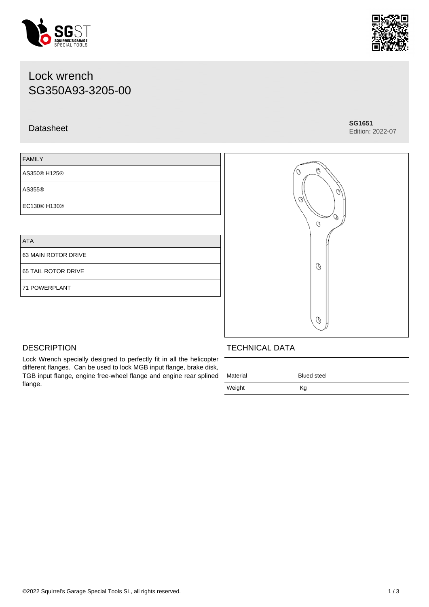### ©2022 Squirrel's Garage Special Tools SL, all rights reserved. 1 / 3

## Lock wrench SG350A93-3205-00

### Datasheet **SG1651**

## FAMILY AS350® H125® AS355® EC130® H130®

Lock Wrench specially designed to perfectly fit in all the helicopter different flanges. Can be used to lock MGB input flange, brake disk, TGB input flange, engine free-wheel flange and engine rear splined

ATA

63 MAIN ROTOR DRIVE

65 TAIL ROTOR DRIVE

71 POWERPLANT

**DESCRIPTION** 

flange.

### TECHNICAL DATA

| Material | <b>Blued steel</b> |  |
|----------|--------------------|--|
| Weight   | Кg                 |  |







# Edition: 2022-07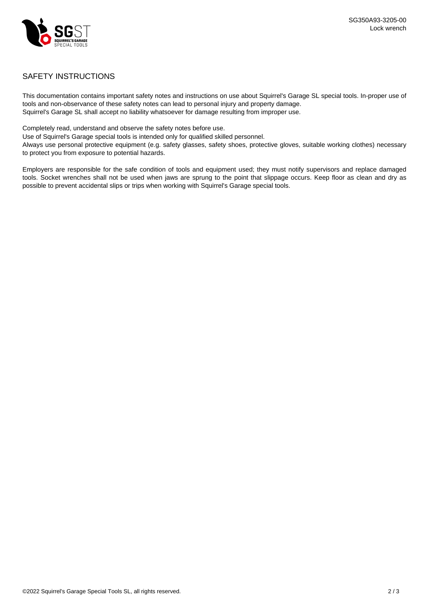

### SAFETY INSTRUCTIONS

This documentation contains important safety notes and instructions on use about Squirrel's Garage SL special tools. In-proper use of tools and non-observance of these safety notes can lead to personal injury and property damage. Squirrel's Garage SL shall accept no liability whatsoever for damage resulting from improper use.

Completely read, understand and observe the safety notes before use.

Use of Squirrel's Garage special tools is intended only for qualified skilled personnel.

Always use personal protective equipment (e.g. safety glasses, safety shoes, protective gloves, suitable working clothes) necessary to protect you from exposure to potential hazards.

Employers are responsible for the safe condition of tools and equipment used; they must notify supervisors and replace damaged tools. Socket wrenches shall not be used when jaws are sprung to the point that slippage occurs. Keep floor as clean and dry as possible to prevent accidental slips or trips when working with Squirrel's Garage special tools.